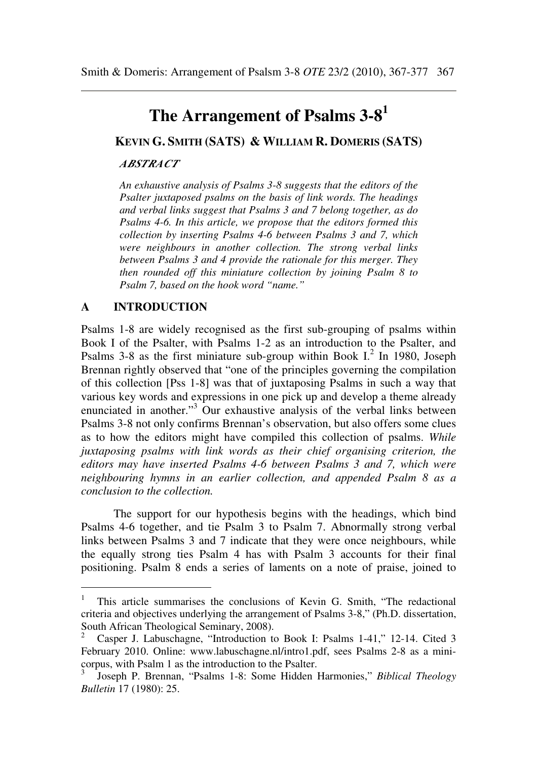# **The Arrangement of Psalms 3-8<sup>1</sup>**

**KEVIN G. SMITH (SATS) & WILLIAM R. DOMERIS (SATS)**

#### *ABSTRACT*

*An exhaustive analysis of Psalms 3-8 suggests that the editors of the Psalter juxtaposed psalms on the basis of link words. The headings and verbal links suggest that Psalms 3 and 7 belong together, as do Psalms 4-6. In this article, we propose that the editors formed this collection by inserting Psalms 4-6 between Psalms 3 and 7, which were neighbours in another collection. The strong verbal links between Psalms 3 and 4 provide the rationale for this merger. They then rounded off this miniature collection by joining Psalm 8 to Psalm 7, based on the hook word "name."* 

#### **A INTRODUCTION**

 $\overline{a}$ 

Psalms 1-8 are widely recognised as the first sub-grouping of psalms within Book I of the Psalter, with Psalms 1-2 as an introduction to the Psalter, and Psalms 3-8 as the first miniature sub-group within Book  $I<sup>2</sup>$  In 1980, Joseph Brennan rightly observed that "one of the principles governing the compilation of this collection [Pss 1-8] was that of juxtaposing Psalms in such a way that various key words and expressions in one pick up and develop a theme already enunciated in another."<sup>3</sup> Our exhaustive analysis of the verbal links between Psalms 3-8 not only confirms Brennan's observation, but also offers some clues as to how the editors might have compiled this collection of psalms. *While juxtaposing psalms with link words as their chief organising criterion, the editors may have inserted Psalms 4-6 between Psalms 3 and 7, which were neighbouring hymns in an earlier collection, and appended Psalm 8 as a conclusion to the collection.*

The support for our hypothesis begins with the headings, which bind Psalms 4-6 together, and tie Psalm 3 to Psalm 7. Abnormally strong verbal links between Psalms 3 and 7 indicate that they were once neighbours, while the equally strong ties Psalm 4 has with Psalm 3 accounts for their final positioning. Psalm 8 ends a series of laments on a note of praise, joined to

<sup>1</sup> This article summarises the conclusions of Kevin G. Smith, "The redactional criteria and objectives underlying the arrangement of Psalms 3-8," (Ph.D. dissertation, South African Theological Seminary, 2008).

<sup>2</sup> Casper J. Labuschagne, "Introduction to Book I: Psalms 1-41," 12-14. Cited 3 February 2010. Online: www.labuschagne.nl/intro1.pdf, sees Psalms 2-8 as a minicorpus, with Psalm 1 as the introduction to the Psalter.

<sup>3</sup> Joseph P. Brennan, "Psalms 1-8: Some Hidden Harmonies," *Biblical Theology Bulletin* 17 (1980): 25.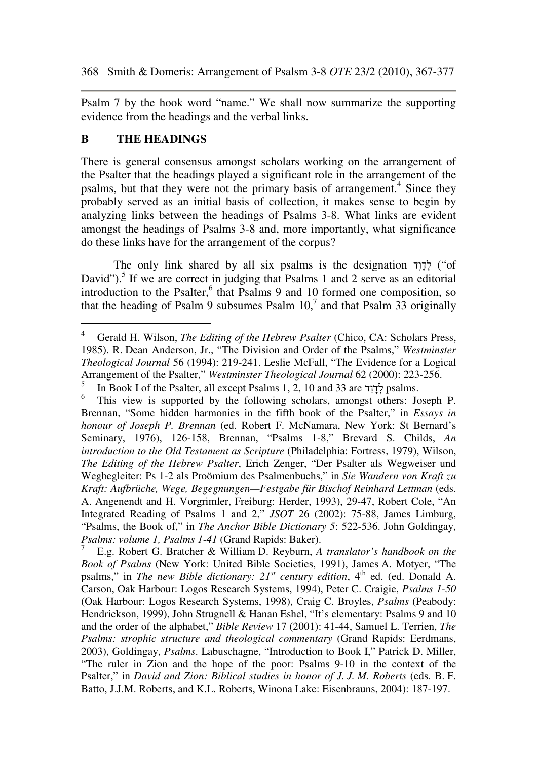Psalm 7 by the hook word "name." We shall now summarize the supporting evidence from the headings and the verbal links.

## **B THE HEADINGS**

 $\overline{a}$ 

There is general consensus amongst scholars working on the arrangement of the Psalter that the headings played a significant role in the arrangement of the psalms, but that they were not the primary basis of arrangement.<sup>4</sup> Since they probably served as an initial basis of collection, it makes sense to begin by analyzing links between the headings of Psalms 3-8. What links are evident amongst the headings of Psalms 3-8 and, more importantly, what significance do these links have for the arrangement of the corpus?

The only link shared by all six psalms is the designation דְּבָוֹד ("of David").<sup>5</sup> If we are correct in judging that Psalms 1 and 2 serve as an editorial introduction to the Psalter,<sup>6</sup> that Psalms 9 and 10 formed one composition, so that the heading of Psalm 9 subsumes Psalm  $10<sup>7</sup>$  and that Psalm 33 originally

<sup>4</sup> Gerald H. Wilson, *The Editing of the Hebrew Psalter* (Chico, CA: Scholars Press, 1985). R. Dean Anderson, Jr., "The Division and Order of the Psalms," *Westminster Theological Journal* 56 (1994): 219-241. Leslie McFall, "The Evidence for a Logical Arrangement of the Psalter," *Westminster Theological Journal* 62 (2000): 223-256.

<sup>5</sup> In Book I of the Psalter, all except Psalms 1, 2, 10 and 33 are ד ִו ָד ְל psalms.

<sup>6</sup> This view is supported by the following scholars, amongst others: Joseph P. Brennan, "Some hidden harmonies in the fifth book of the Psalter," in *Essays in honour of Joseph P. Brennan* (ed. Robert F. McNamara, New York: St Bernard's Seminary, 1976), 126-158, Brennan, "Psalms 1-8," Brevard S. Childs, *An introduction to the Old Testament as Scripture* (Philadelphia: Fortress, 1979), Wilson, *The Editing of the Hebrew Psalter*, Erich Zenger, "Der Psalter als Wegweiser und Wegbegleiter: Ps 1-2 als Proömium des Psalmenbuchs," in *Sie Wandern von Kraft zu Kraft: Aufbrüche, Wege, Begegnungen—Festgabe für Bischof Reinhard Lettman* (eds. A. Angenendt and H. Vorgrimler, Freiburg: Herder, 1993), 29-47, Robert Cole, "An Integrated Reading of Psalms 1 and 2," *JSOT* 26 (2002): 75-88, James Limburg, "Psalms, the Book of," in *The Anchor Bible Dictionary 5*: 522-536. John Goldingay, *Psalms: volume 1, Psalms 1-41* (Grand Rapids: Baker).

<sup>7</sup> E.g. Robert G. Bratcher & William D. Reyburn, *A translator's handbook on the Book of Psalms* (New York: United Bible Societies, 1991), James A. Motyer, "The psalms," in *The new Bible dictionary: 21<sup>st</sup> century edition*, 4<sup>th</sup> ed. (ed. Donald A. Carson, Oak Harbour: Logos Research Systems, 1994), Peter C. Craigie, *Psalms 1-50* (Oak Harbour: Logos Research Systems, 1998), Craig C. Broyles, *Psalms* (Peabody: Hendrickson, 1999), John Strugnell & Hanan Eshel, "It's elementary: Psalms 9 and 10 and the order of the alphabet," *Bible Review* 17 (2001): 41-44, Samuel L. Terrien, *The Psalms: strophic structure and theological commentary* (Grand Rapids: Eerdmans, 2003), Goldingay, *Psalms*. Labuschagne, "Introduction to Book I," Patrick D. Miller, "The ruler in Zion and the hope of the poor: Psalms 9-10 in the context of the Psalter," in *David and Zion: Biblical studies in honor of J. J. M. Roberts* (eds. B. F. Batto, J.J.M. Roberts, and K.L. Roberts, Winona Lake: Eisenbrauns, 2004): 187-197.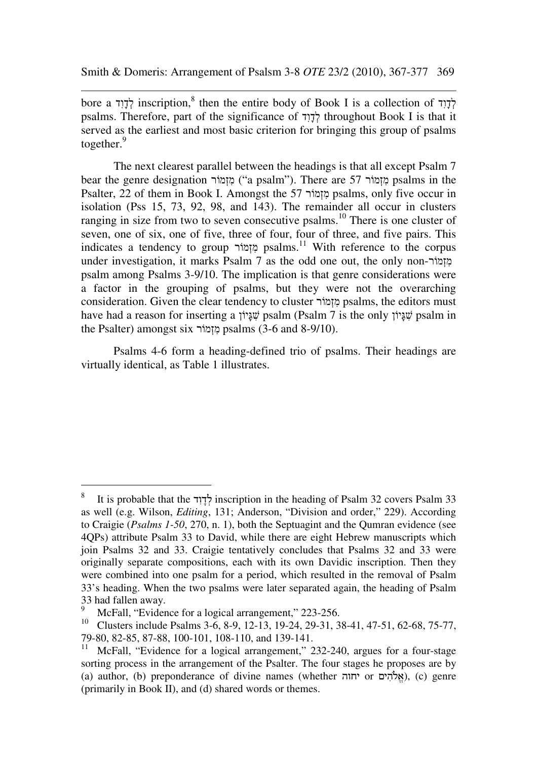bore a לְדָוִד inscription,<sup>8</sup> then the entire body of Book I is a collection of לְדָוִד psalms. Therefore, part of the significance of  $\frac{1}{2}$  throughout Book I is that it served as the earliest and most basic criterion for bringing this group of psalms together.<sup>9</sup>

The next clearest parallel between the headings is that all except Psalm 7 bear the genre designation מוֹרְזִמ") a psalm"). There are 57 מוֹרְזִמ psalms in the Psalter, 22 of them in Book I. Amongst the 57 מוֹרְזִמ psalms, only five occur in isolation (Pss 15, 73, 92, 98, and 143). The remainder all occur in clusters ranging in size from two to seven consecutive psalms.<sup>10</sup> There is one cluster of seven, one of six, one of five, three of four, four of three, and five pairs. This indicates a tendency to group מוֹרְזִמ psalms.<sup>11</sup> With reference to the corpus under investigation, it marks Psalm 7 as the odd one out, the only non-מוֹרְזִמ psalm among Psalms 3-9/10. The implication is that genre considerations were a factor in the grouping of psalms, but they were not the overarching consideration. Given the clear tendency to cluster מוֹרְזִמ psalms, the editors must have had a reason for inserting a יוֹןָגּ ִשׁ psalm (Psalm 7 is the only יוֹןָגּ ִשׁ psalm in the Psalter) amongst six מוֹרְזִמ psalms (3-6 and 8-9/10).

Psalms 4-6 form a heading-defined trio of psalms. Their headings are virtually identical, as Table 1 illustrates.

<sup>8</sup> It is probable that the לדוד inscription in the heading of Psalm 32 covers Psalm 33 as well (e.g. Wilson, *Editing*, 131; Anderson, "Division and order," 229). According to Craigie (*Psalms 1-50*, 270, n. 1), both the Septuagint and the Qumran evidence (see 4QPs) attribute Psalm 33 to David, while there are eight Hebrew manuscripts which join Psalms 32 and 33. Craigie tentatively concludes that Psalms 32 and 33 were originally separate compositions, each with its own Davidic inscription. Then they were combined into one psalm for a period, which resulted in the removal of Psalm 33's heading. When the two psalms were later separated again, the heading of Psalm 33 had fallen away.

<sup>9</sup> <sup>9</sup> McFall, "Evidence for a logical arrangement," 223-256.<br><sup>10</sup> Clusters include Beelme 3.6, 8, 9, 12, 13, 19, 24, 29, 31, 3

<sup>10</sup> Clusters include Psalms 3-6, 8-9, 12-13, 19-24, 29-31, 38-41, 47-51, 62-68, 75-77, 79-80, 82-85, 87-88, 100-101, 108-110, and 139-141.

<sup>&</sup>lt;sup>11</sup> McFall, "Evidence for a logical arrangement," 232-240, argues for a four-stage sorting process in the arrangement of the Psalter. The four stages he proposes are by (a) author, (b) preponderance of divine names (whether יחוה) or יחוה), (c) genre (primarily in Book II), and (d) shared words or themes.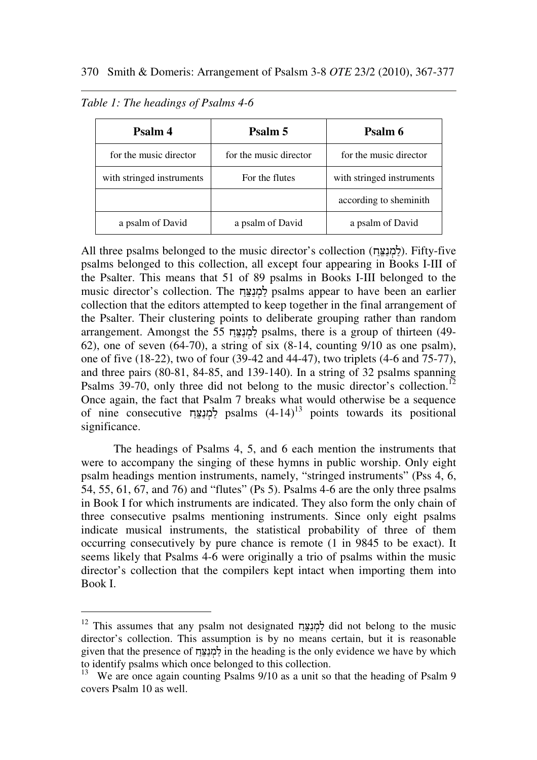| Psalm 4                   | Psalm 5                | Psalm 6                   |
|---------------------------|------------------------|---------------------------|
| for the music director    | for the music director | for the music director    |
| with stringed instruments | For the flutes         | with stringed instruments |
|                           |                        | according to sheminith    |
| a psalm of David          | a psalm of David       | a psalm of David          |

*Table 1: The headings of Psalms 4-6* 

 $\overline{a}$ 

All three psalms belonged to the music director's collection (למנצח). Fifty-five psalms belonged to this collection, all except four appearing in Books I-III of the Psalter. This means that 51 of 89 psalms in Books I-III belonged to the music director's collection. The למנצח psalms appear to have been an earlier collection that the editors attempted to keep together in the final arrangement of the Psalter. Their clustering points to deliberate grouping rather than random arrangement. Amongst the 55 למנצח psalms, there is a group of thirteen (49-62), one of seven  $(64-70)$ , a string of six  $(8-14)$ , counting  $9/10$  as one psalm), one of five (18-22), two of four (39-42 and 44-47), two triplets (4-6 and 75-77), and three pairs (80-81, 84-85, and 139-140). In a string of 32 psalms spanning Psalms 39-70, only three did not belong to the music director's collection.<sup>12</sup> Once again, the fact that Psalm 7 breaks what would otherwise be a sequence of nine consecutive לַמְנַצֵּח psalms  $(4-14)^{13}$  points towards its positional significance.

The headings of Psalms 4, 5, and 6 each mention the instruments that were to accompany the singing of these hymns in public worship. Only eight psalm headings mention instruments, namely, "stringed instruments" (Pss 4, 6, 54, 55, 61, 67, and 76) and "flutes" (Ps 5). Psalms 4-6 are the only three psalms in Book I for which instruments are indicated. They also form the only chain of three consecutive psalms mentioning instruments. Since only eight psalms indicate musical instruments, the statistical probability of three of them occurring consecutively by pure chance is remote (1 in 9845 to be exact). It seems likely that Psalms 4-6 were originally a trio of psalms within the music director's collection that the compilers kept intact when importing them into Book I.

<sup>&</sup>lt;sup>12</sup> This assumes that any psalm not designated לַמְנַצֵּח did not belong to the music director's collection. This assumption is by no means certain, but it is reasonable given that the presence of למנצח in the heading is the only evidence we have by which to identify psalms which once belonged to this collection.

<sup>&</sup>lt;sup>13</sup> We are once again counting Psalms 9/10 as a unit so that the heading of Psalm 9 covers Psalm 10 as well.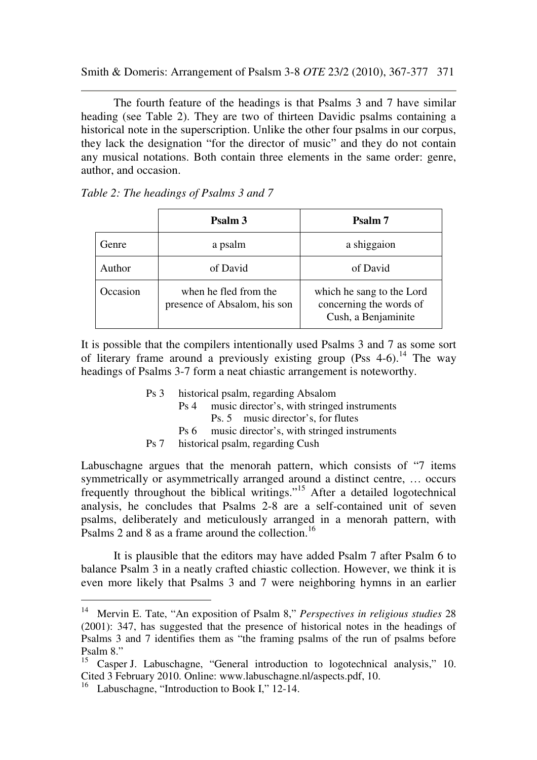Smith & Domeris: Arrangement of Psalsm 3-8 *OTE* 23/2 (2010), 367-377 371

The fourth feature of the headings is that Psalms 3 and 7 have similar heading (see Table 2). They are two of thirteen Davidic psalms containing a historical note in the superscription. Unlike the other four psalms in our corpus, they lack the designation "for the director of music" and they do not contain any musical notations. Both contain three elements in the same order: genre, author, and occasion.

|          | Psalm 3                                               | Psalm 7                                                                     |
|----------|-------------------------------------------------------|-----------------------------------------------------------------------------|
| Genre    | a psalm                                               | a shiggaion                                                                 |
| Author   | of David                                              | of David                                                                    |
| Occasion | when he fled from the<br>presence of Absalom, his son | which he sang to the Lord<br>concerning the words of<br>Cush, a Benjaminite |

*Table 2: The headings of Psalms 3 and 7* 

It is possible that the compilers intentionally used Psalms 3 and 7 as some sort of literary frame around a previously existing group (Pss  $4-6$ ).<sup>14</sup> The way headings of Psalms 3-7 form a neat chiastic arrangement is noteworthy.

- Ps 3 historical psalm, regarding Absalom
	- Ps 4 music director's, with stringed instruments
		- Ps. 5 music director's, for flutes
	- Ps 6 music director's, with stringed instruments
- Ps 7 historical psalm, regarding Cush

Labuschagne argues that the menorah pattern, which consists of "7 items symmetrically or asymmetrically arranged around a distinct centre, … occurs frequently throughout the biblical writings."<sup>15</sup> After a detailed logotechnical analysis, he concludes that Psalms 2-8 are a self-contained unit of seven psalms, deliberately and meticulously arranged in a menorah pattern, with Psalms 2 and 8 as a frame around the collection.<sup>16</sup>

It is plausible that the editors may have added Psalm 7 after Psalm 6 to balance Psalm 3 in a neatly crafted chiastic collection. However, we think it is even more likely that Psalms 3 and 7 were neighboring hymns in an earlier

<sup>14</sup> Mervin E. Tate, "An exposition of Psalm 8," *Perspectives in religious studies* 28 (2001): 347, has suggested that the presence of historical notes in the headings of Psalms 3 and 7 identifies them as "the framing psalms of the run of psalms before Psalm 8."

<sup>&</sup>lt;sup>15</sup> Casper J. Labuschagne, "General introduction to logotechnical analysis," 10. Cited 3 February 2010. Online: www.labuschagne.nl/aspects.pdf, 10.

<sup>&</sup>lt;sup>16</sup> Labuschagne, "Introduction to Book I," 12-14.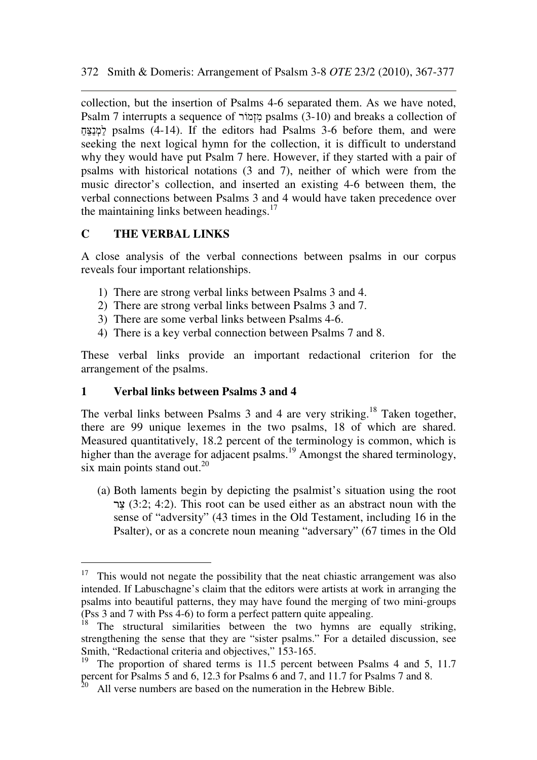collection, but the insertion of Psalms 4-6 separated them. As we have noted, Psalm 7 interrupts a sequence of מוֹרְזִמ psalms (3-10) and breaks a collection of ַחֲצָבּח psalms (4-14). If the editors had Psalms 3-6 before them, and were seeking the next logical hymn for the collection, it is difficult to understand why they would have put Psalm 7 here. However, if they started with a pair of psalms with historical notations (3 and 7), neither of which were from the music director's collection, and inserted an existing 4-6 between them, the verbal connections between Psalms 3 and 4 would have taken precedence over the maintaining links between headings.<sup>17</sup>

## **C THE VERBAL LINKS**

 $\overline{a}$ 

A close analysis of the verbal connections between psalms in our corpus reveals four important relationships.

- 1) There are strong verbal links between Psalms 3 and 4.
- 2) There are strong verbal links between Psalms 3 and 7.
- 3) There are some verbal links between Psalms 4-6.
- 4) There is a key verbal connection between Psalms 7 and 8.

These verbal links provide an important redactional criterion for the arrangement of the psalms.

### **1 Verbal links between Psalms 3 and 4**

The verbal links between Psalms 3 and 4 are very striking.<sup>18</sup> Taken together, there are 99 unique lexemes in the two psalms, 18 of which are shared. Measured quantitatively, 18.2 percent of the terminology is common, which is higher than the average for adjacent psalms.<sup>19</sup> Amongst the shared terminology, six main points stand out. $^{20}$ 

(a) Both laments begin by depicting the psalmist's situation using the root צר  $(3:2; 4:2)$ . This root can be used either as an abstract noun with the sense of "adversity" (43 times in the Old Testament, including 16 in the Psalter), or as a concrete noun meaning "adversary" (67 times in the Old

<sup>&</sup>lt;sup>17</sup> This would not negate the possibility that the neat chiastic arrangement was also intended. If Labuschagne's claim that the editors were artists at work in arranging the psalms into beautiful patterns, they may have found the merging of two mini-groups (Pss 3 and 7 with Pss 4-6) to form a perfect pattern quite appealing.

The structural similarities between the two hymns are equally striking, strengthening the sense that they are "sister psalms." For a detailed discussion, see Smith, "Redactional criteria and objectives," 153-165.

<sup>&</sup>lt;sup>19</sup> The proportion of shared terms is 11.5 percent between Psalms 4 and 5, 11.7 percent for Psalms 5 and 6, 12.3 for Psalms 6 and 7, and 11.7 for Psalms 7 and 8.

 $2<sup>20</sup>$  All verse numbers are based on the numeration in the Hebrew Bible.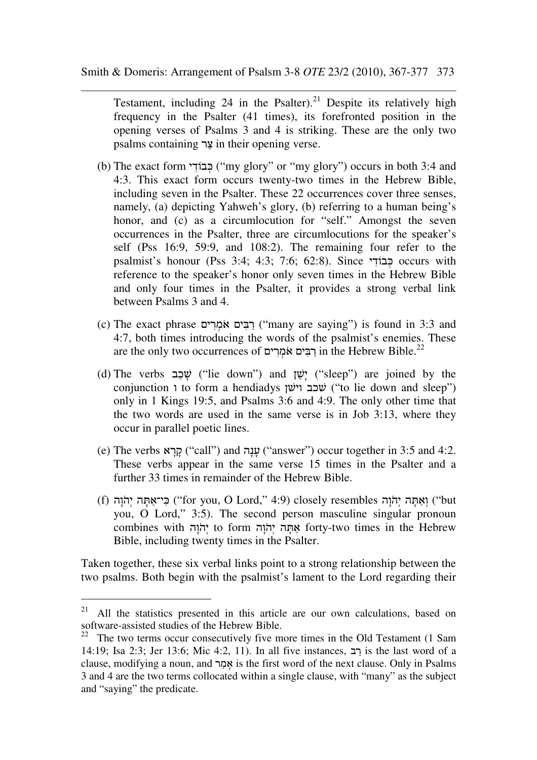Testament, including 24 in the Psalter).<sup>21</sup> Despite its relatively high frequency in the Psalter (41 times), its forefronted position in the opening verses of Psalms 3 and 4 is striking. These are the only two psalms containing צר in their opening verse.

- (b) The exact form יבּבוֹדִי ("my glory" or "my glory") occurs in both 3:4 and 4:3. This exact form occurs twenty-two times in the Hebrew Bible, including seven in the Psalter. These 22 occurrences cover three senses, namely, (a) depicting Yahweh's glory, (b) referring to a human being's honor, and (c) as a circumlocution for "self." Amongst the seven occurrences in the Psalter, three are circumlocutions for the speaker's self (Pss 16:9, 59:9, and 108:2). The remaining four refer to the psalmist's honour (Pss 3:4; 4:3; 7:6; 62:8). Since י ִבוֹד ְכּ occurs with reference to the speaker's honor only seven times in the Hebrew Bible and only four times in the Psalter, it provides a strong verbal link between Psalms 3 and 4.
- (c) The exact phrase יְרַבִּים אֹמְרִים ("many are saying") is found in 3:3 and 4:7, both times introducing the words of the psalmist's enemies. These are the only two occurrences of רבים אמרים in the Hebrew Bible.<sup>22</sup>
- (d) The verbs יָשָׁל ("lie down") and יָשֵׁי ("sleep") are joined by the conjunction i to form a hendiadys שׁכב וישן ("to lie down and sleep") only in 1 Kings 19:5, and Psalms 3:6 and 4:9. The only other time that the two words are used in the same verse is in Job 3:13, where they occur in parallel poetic lines.
- (e) The verbs אָר ("call") and עֲנָה ("answer") occur together in 3:5 and 4:2. These verbs appear in the same verse 15 times in the Psalter and a further 33 times in remainder of the Hebrew Bible.
- (f) וְאֵתְּה יְהֹוָה ("for you, O Lord," 4:9) closely resembles וְאֵתָּה יְהֹוָה ("but you, O Lord," 3:5). The second person masculine singular pronoun to form אַתָּה יְהֹוָה forty-two times in the Hebrew Bible, including twenty times in the Psalter.

Taken together, these six verbal links point to a strong relationship between the two psalms. Both begin with the psalmist's lament to the Lord regarding their

 $21$  All the statistics presented in this article are our own calculations, based on software-assisted studies of the Hebrew Bible.

<sup>&</sup>lt;sup>22</sup> The two terms occur consecutively five more times in the Old Testament  $(1 \text{ Sam})$ 14:19; Isa 2:3; Jer 13:6; Mic 4:2, 11). In all five instances, ב ַר is the last word of a clause, modifying a noun, and אָמָר is the first word of the next clause. Only in Psalms 3 and 4 are the two terms collocated within a single clause, with "many" as the subject and "saying" the predicate.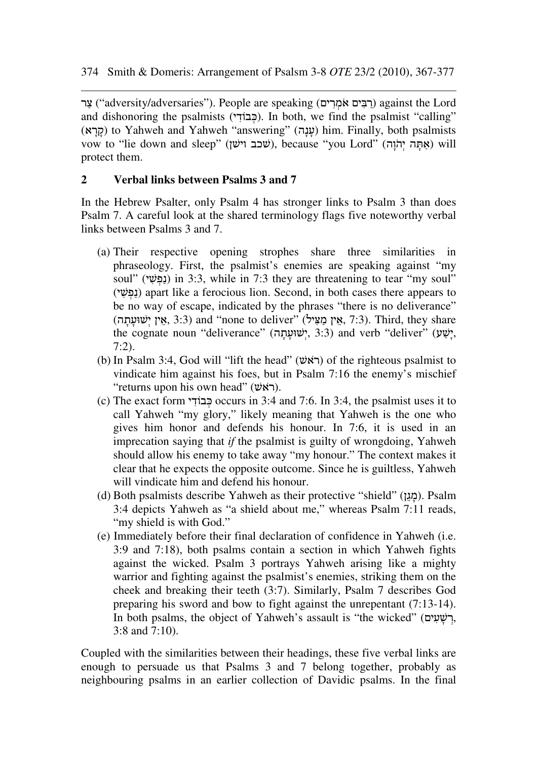בִּר "adversity/adversaries"). People are speaking (רְבִּיִם אֹמְרִים) against the Lord and dishonoring the psalmists (כבוֹד). In both, we find the psalmist "calling" (אַנָה) to Yahweh and Yahweh "answering" (עָנָה) him. Finally, both psalmists vow to "lie down and sleep" (שׁכב וישׁן), because "you Lord" (אתה יהוה) will protect them.

## **2 Verbal links between Psalms 3 and 7**

In the Hebrew Psalter, only Psalm 4 has stronger links to Psalm 3 than does Psalm 7. A careful look at the shared terminology flags five noteworthy verbal links between Psalms 3 and 7.

- (a) Their respective opening strophes share three similarities in phraseology. First, the psalmist's enemies are speaking against "my soul" (נָפָּשׁ) in 3:3, while in 7:3 they are threatening to tear "my soul" (י ִשׁ ְפ ַנ (apart like a ferocious lion. Second, in both cases there appears to be no way of escape, indicated by the phrases "there is no deliverance"  $(3:3)$  and "none to deliver" (אֵין מַ הַעֲיל, 7:3). Third, they share the cognate noun "deliverance" (יָשׁוּעַתָה, 3:3) and verb "deliver" (יָשָׁעָ 7:2).
- (b) In Psalm 3:4, God will "lift the head" (ראָשׁ) of the righteous psalmist to vindicate him against his foes, but in Psalm 7:16 the enemy's mischief "returns upon his own head" (ראָשׁ).
- (c) The exact form <u>כ</u>ּבוֹד<sup> $\alpha$ </sup> (c) cocurs in 3:4 and 7:6. In 3:4, the psalmist uses it to call Yahweh "my glory," likely meaning that Yahweh is the one who gives him honor and defends his honour. In 7:6, it is used in an imprecation saying that *if* the psalmist is guilty of wrongdoing, Yahweh should allow his enemy to take away "my honour." The context makes it clear that he expects the opposite outcome. Since he is guiltless, Yahweh will vindicate him and defend his honour.
- (d) Both psalmists describe Yahweh as their protective "shield" (ן ֵג ָמ(. Psalm 3:4 depicts Yahweh as "a shield about me," whereas Psalm 7:11 reads, "my shield is with God."
- (e) Immediately before their final declaration of confidence in Yahweh (i.e. 3:9 and 7:18), both psalms contain a section in which Yahweh fights against the wicked. Psalm 3 portrays Yahweh arising like a mighty warrior and fighting against the psalmist's enemies, striking them on the cheek and breaking their teeth (3:7). Similarly, Psalm 7 describes God preparing his sword and bow to fight against the unrepentant (7:13-14). In both psalms, the object of Yahweh's assault is "the wicked" (רשׁעים, 3:8 and 7:10).

Coupled with the similarities between their headings, these five verbal links are enough to persuade us that Psalms 3 and 7 belong together, probably as neighbouring psalms in an earlier collection of Davidic psalms. In the final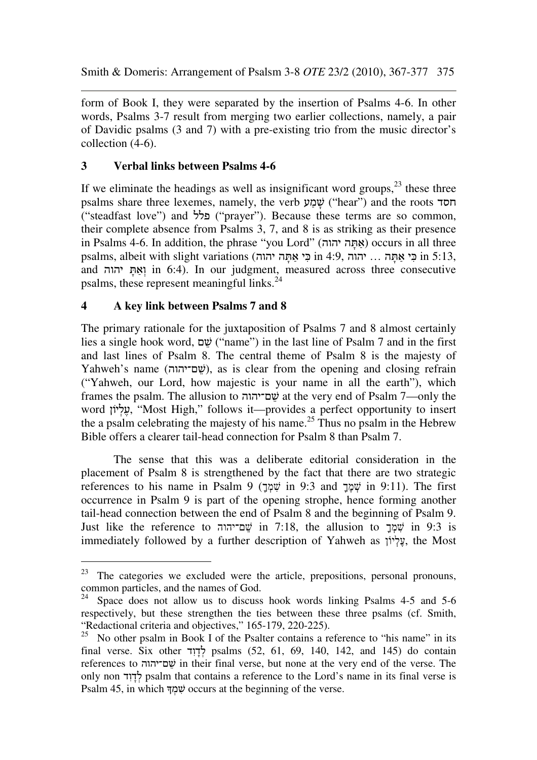form of Book I, they were separated by the insertion of Psalms 4-6. In other words, Psalms 3-7 result from merging two earlier collections, namely, a pair of Davidic psalms (3 and 7) with a pre-existing trio from the music director's collection (4-6).

## **3 Verbal links between Psalms 4-6**

If we eliminate the headings as well as insignificant word groups, $^{23}$  these three psalms share three lexemes, namely, the verb שמע ("hear") and the roots חסד ("steadfast love") and פלל") prayer"). Because these terms are so common, their complete absence from Psalms 3, 7, and 8 is as striking as their presence in Psalms 4-6. In addition, the phrase "you Lord" (אֶתֶּה יהוה) occurs in all three psalms, albeit with slight variations (בי אתּה יהוה 4:9, in 4:9, בי אתּה יהוה 5:13, and יהוה in 6:4). In our judgment, measured across three consecutive psalms, these represent meaningful links.<sup>24</sup>

### **4 A key link between Psalms 7 and 8**

 $\overline{a}$ 

The primary rationale for the juxtaposition of Psalms 7 and 8 almost certainly lies a single hook word, שׂשׁ ("name") in the last line of Psalm 7 and in the first and last lines of Psalm 8. The central theme of Psalm 8 is the majesty of Yahweh's name (שָׁם־יהוה), as is clear from the opening and closing refrain ("Yahweh, our Lord, how majestic is your name in all the earth"), which frames the psalm. The allusion to ם־יהוה ֵשׁ at the very end of Psalm 7—only the word יָעֵלְיוֹן, "Most High," follows it—provides a perfect opportunity to insert the a psalm celebrating the majesty of his name.<sup>25</sup> Thus no psalm in the Hebrew Bible offers a clearer tail-head connection for Psalm 8 than Psalm 7.

The sense that this was a deliberate editorial consideration in the placement of Psalm 8 is strengthened by the fact that there are two strategic references to his name in Psalm 9 (שְׁמָּךְ in 9:3 and  $\psi$  in 9:11). The first occurrence in Psalm 9 is part of the opening strophe, hence forming another tail-head connection between the end of Psalm 8 and the beginning of Psalm 9. Just like the reference to ישָׁמַ־יהוה  $\ddot{v}$  in 7:18, the allusion to  $\ddot{v}$  in 9:3 is immediately followed by a further description of Yahweh as יוֹןְלֶע, the Most

 $23$  The categories we excluded were the article, prepositions, personal pronouns, common particles, and the names of God.

 $24$  Space does not allow us to discuss hook words linking Psalms 4-5 and 5-6 respectively, but these strengthen the ties between these three psalms (cf. Smith, "Redactional criteria and objectives," 165-179, 220-225).

<sup>&</sup>lt;sup>25</sup> No other psalm in Book I of the Psalter contains a reference to "his name" in its final verse. Six other לדוד psalms (52, 61, 69, 140, 142, and 145) do contain references to ם־יהוה ֵשׁ in their final verse, but none at the very end of the verse. The only non לדוד psalm that contains a reference to the Lord's name in its final verse is Psalm 45, in which שְׁמַה occurs at the beginning of the verse.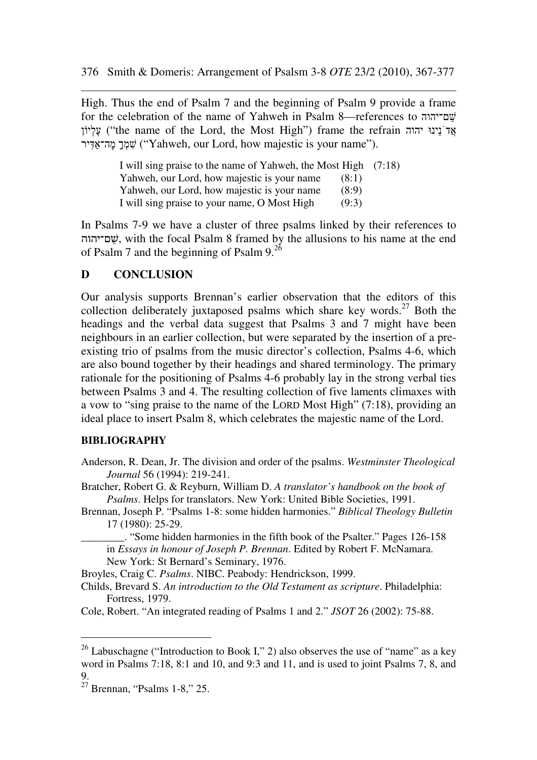High. Thus the end of Psalm 7 and the beginning of Psalm 9 provide a frame for the celebration of the name of Yahweh in Psalm 8—references to ישבריהוה עֲלְיוֹן ("the name of the Lord, the Most High") frame the refrain עֲלְיוֹן שְׁמָךְ מִה־אִדִּיר ("Yahweh, our Lord, how majestic is your name").

> I will sing praise to the name of Yahweh, the Most High (7:18) Yahweh, our Lord, how majestic is your name (8:1) Yahweh, our Lord, how majestic is your name (8:9) I will sing praise to your name, O Most High (9:3)

In Psalms 7-9 we have a cluster of three psalms linked by their references to ם־יהוה ֵשׁ, with the focal Psalm 8 framed by the allusions to his name at the end of Psalm 7 and the beginning of Psalm 9.<sup>26</sup>

#### **D CONCLUSION**

Our analysis supports Brennan's earlier observation that the editors of this collection deliberately juxtaposed psalms which share key words.<sup>27</sup> Both the headings and the verbal data suggest that Psalms 3 and 7 might have been neighbours in an earlier collection, but were separated by the insertion of a preexisting trio of psalms from the music director's collection, Psalms 4-6, which are also bound together by their headings and shared terminology. The primary rationale for the positioning of Psalms 4-6 probably lay in the strong verbal ties between Psalms 3 and 4. The resulting collection of five laments climaxes with a vow to "sing praise to the name of the LORD Most High" (7:18), providing an ideal place to insert Psalm 8, which celebrates the majestic name of the Lord.

#### **BIBLIOGRAPHY**

Anderson, R. Dean, Jr. The division and order of the psalms. *Westminster Theological Journal* 56 (1994): 219-241.

Bratcher, Robert G. & Reyburn, William D. *A translator's handbook on the book of Psalms*. Helps for translators. New York: United Bible Societies, 1991.

Brennan, Joseph P. "Psalms 1-8: some hidden harmonies." *Biblical Theology Bulletin* 17 (1980): 25-29.

\_\_\_\_\_\_\_\_. "Some hidden harmonies in the fifth book of the Psalter." Pages 126-158 in *Essays in honour of Joseph P. Brennan*. Edited by Robert F. McNamara. New York: St Bernard's Seminary, 1976.

Broyles, Craig C. *Psalms*. NIBC. Peabody: Hendrickson, 1999.

Childs, Brevard S. *An introduction to the Old Testament as scripture*. Philadelphia: Fortress, 1979.

Cole, Robert. "An integrated reading of Psalms 1 and 2." *JSOT* 26 (2002): 75-88.

<sup>&</sup>lt;sup>26</sup> Labuschagne ("Introduction to Book I," 2) also observes the use of "name" as a key word in Psalms 7:18, 8:1 and 10, and 9:3 and 11, and is used to joint Psalms 7, 8, and 9.

 $27$  Brennan, "Psalms 1-8," 25.